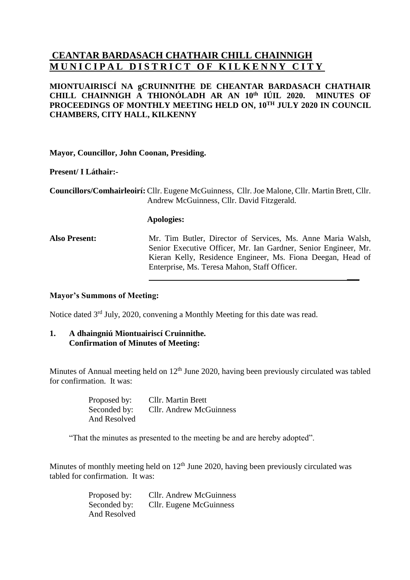# **CEANTAR BARDASACH CHATHAIR CHILL CHAINNIGH MUNICIPAL DISTRICT OF KILKENNY CITY**

## **MIONTUAIRISCÍ NA gCRUINNITHE DE CHEANTAR BARDASACH CHATHAIR CHILL CHAINNIGH A THIONÓLADH AR AN 10 th IÚIL 2020. MINUTES OF PROCEEDINGS OF MONTHLY MEETING HELD ON, 10 TH JULY 2020 IN COUNCIL CHAMBERS, CITY HALL, KILKENNY**

**Mayor, Councillor, John Coonan, Presiding.**

**Present/ I Láthair:-**

**Councillors/Comhairleoirí:** Cllr. Eugene McGuinness, Cllr. Joe Malone, Cllr. Martin Brett, Cllr. Andrew McGuinness, Cllr. David Fitzgerald.

#### **Apologies:**

**Also Present:** Mr. Tim Butler, Director of Services, Ms. Anne Maria Walsh, Senior Executive Officer, Mr. Ian Gardner, Senior Engineer, Mr. Kieran Kelly, Residence Engineer, Ms. Fiona Deegan, Head of Enterprise, Ms. Teresa Mahon, Staff Officer.

**\_\_\_**

### **Mayor's Summons of Meeting:**

Notice dated 3<sup>rd</sup> July, 2020, convening a Monthly Meeting for this date was read.

#### **1. A dhaingniú Miontuairiscí Cruinnithe. Confirmation of Minutes of Meeting:**

Minutes of Annual meeting held on 12<sup>th</sup> June 2020, having been previously circulated was tabled for confirmation. It was:

| Proposed by: | Cllr. Martin Brett             |
|--------------|--------------------------------|
| Seconded by: | <b>Cllr.</b> Andrew McGuinness |
| And Resolved |                                |

"That the minutes as presented to the meeting be and are hereby adopted".

Minutes of monthly meeting held on  $12<sup>th</sup>$  June 2020, having been previously circulated was tabled for confirmation. It was:

| Proposed by: | <b>Cllr.</b> Andrew McGuinness |
|--------------|--------------------------------|
| Seconded by: | Cllr. Eugene McGuinness        |
| And Resolved |                                |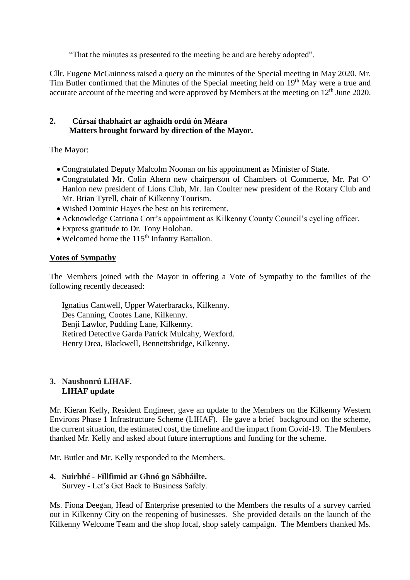"That the minutes as presented to the meeting be and are hereby adopted".

Cllr. Eugene McGuinness raised a query on the minutes of the Special meeting in May 2020. Mr. Tim Butler confirmed that the Minutes of the Special meeting held on 19<sup>th</sup> May were a true and accurate account of the meeting and were approved by Members at the meeting on 12<sup>th</sup> June 2020.

## **2. Cúrsaí thabhairt ar aghaidh ordú ón Méara Matters brought forward by direction of the Mayor.**

The Mayor:

- Congratulated Deputy Malcolm Noonan on his appointment as Minister of State.
- Congratulated Mr. Colin Ahern new chairperson of Chambers of Commerce, Mr. Pat O' Hanlon new president of Lions Club, Mr. Ian Coulter new president of the Rotary Club and Mr. Brian Tyrell, chair of Kilkenny Tourism.
- Wished Dominic Hayes the best on his retirement.
- Acknowledge Catriona Corr's appointment as Kilkenny County Council's cycling officer.
- Express gratitude to Dr. Tony Holohan.
- Welcomed home the  $115<sup>th</sup>$  Infantry Battalion.

## **Votes of Sympathy**

The Members joined with the Mayor in offering a Vote of Sympathy to the families of the following recently deceased:

Ignatius Cantwell, Upper Waterbaracks, Kilkenny. Des Canning, Cootes Lane, Kilkenny. Benji Lawlor, Pudding Lane, Kilkenny. Retired Detective Garda Patrick Mulcahy, Wexford. Henry Drea, Blackwell, Bennettsbridge, Kilkenny.

#### **3. Naushonrú LIHAF. LIHAF update**

Mr. Kieran Kelly, Resident Engineer, gave an update to the Members on the Kilkenny Western Environs Phase 1 Infrastructure Scheme (LIHAF). He gave a brief background on the scheme, the current situation, the estimated cost, the timeline and the impact from Covid-19. The Members thanked Mr. Kelly and asked about future interruptions and funding for the scheme.

Mr. Butler and Mr. Kelly responded to the Members.

### **4. Suirbhé - Fillfimid ar Ghnó go Sábháilte.** Survey - Let's Get Back to Business Safely.

Ms. Fiona Deegan, Head of Enterprise presented to the Members the results of a survey carried out in Kilkenny City on the reopening of businesses. She provided details on the launch of the Kilkenny Welcome Team and the shop local, shop safely campaign. The Members thanked Ms.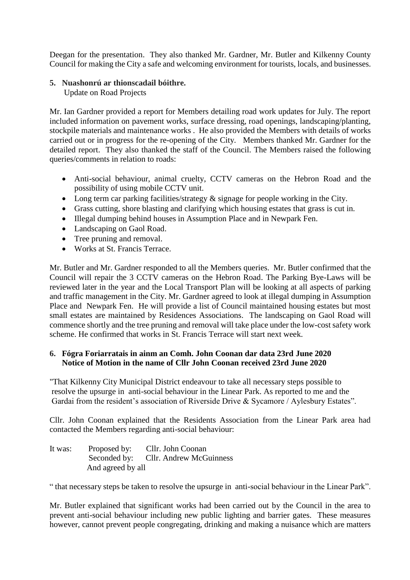Deegan for the presentation. They also thanked Mr. Gardner, Mr. Butler and Kilkenny County Council for making the City a safe and welcoming environment for tourists, locals, and businesses.

## **5. Nuashonrú ar thionscadail bóithre.**

Update on Road Projects

Mr. Ian Gardner provided a report for Members detailing road work updates for July. The report included information on pavement works, surface dressing, road openings, landscaping/planting, stockpile materials and maintenance works . He also provided the Members with details of works carried out or in progress for the re-opening of the City. Members thanked Mr. Gardner for the detailed report. They also thanked the staff of the Council. The Members raised the following queries/comments in relation to roads:

- Anti-social behaviour, animal cruelty, CCTV cameras on the Hebron Road and the possibility of using mobile CCTV unit.
- Long term car parking facilities/strategy  $\&$  signage for people working in the City.
- Grass cutting, shore blasting and clarifying which housing estates that grass is cut in.
- Illegal dumping behind houses in Assumption Place and in Newpark Fen.
- Landscaping on Gaol Road.
- Tree pruning and removal.
- Works at St. Francis Terrace.

Mr. Butler and Mr. Gardner responded to all the Members queries. Mr. Butler confirmed that the Council will repair the 3 CCTV cameras on the Hebron Road. The Parking Bye-Laws will be reviewed later in the year and the Local Transport Plan will be looking at all aspects of parking and traffic management in the City. Mr. Gardner agreed to look at illegal dumping in Assumption Place and Newpark Fen. He will provide a list of Council maintained housing estates but most small estates are maintained by Residences Associations. The landscaping on Gaol Road will commence shortly and the tree pruning and removal will take place under the low-cost safety work scheme. He confirmed that works in St. Francis Terrace will start next week.

## **6. Fógra Foriarratais in ainm an Comh. John Coonan dar data 23rd June 2020 Notice of Motion in the name of Cllr John Coonan received 23rd June 2020**

"That Kilkenny City Municipal District endeavour to take all necessary steps possible to resolve the upsurge in anti-social behaviour in the Linear Park. As reported to me and the Gardai from the resident's association of Riverside Drive & Sycamore / Aylesbury Estates".

Cllr. John Coonan explained that the Residents Association from the Linear Park area had contacted the Members regarding anti-social behaviour:

| It was: | Proposed by:      | Cllr. John Coonan                    |
|---------|-------------------|--------------------------------------|
|         |                   | Seconded by: Cllr. Andrew McGuinness |
|         | And agreed by all |                                      |

" that necessary steps be taken to resolve the upsurge in anti-social behaviour in the Linear Park".

Mr. Butler explained that significant works had been carried out by the Council in the area to prevent anti-social behaviour including new public lighting and barrier gates. These measures however, cannot prevent people congregating, drinking and making a nuisance which are matters